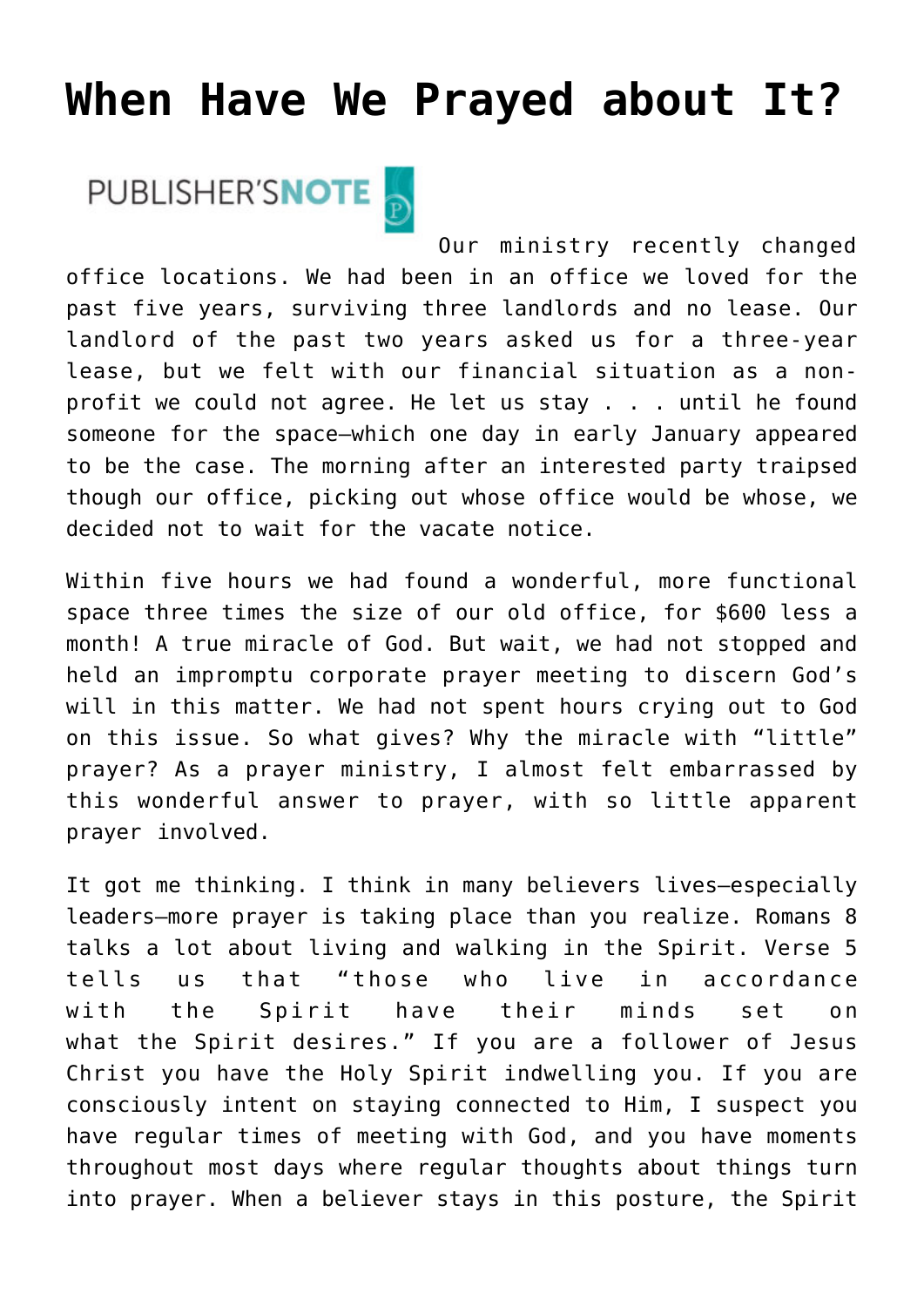## **[When Have We Prayed about It?](https://www.prayerleader.com/when-have-we-prayed-about-it/)**

## PUBLISHER'SNOTE

Our ministry recently changed office locations. We had been in an office we loved for the past five years, surviving three landlords and no lease. Our landlord of the past two years asked us for a three-year lease, but we felt with our financial situation as a nonprofit we could not agree. He let us stay . . . until he found someone for the space—which one day in early January appeared to be the case. The morning after an interested party traipsed though our office, picking out whose office would be whose, we decided not to wait for the vacate notice.

Within five hours we had found a wonderful, more functional space three times the size of our old office, for \$600 less a month! A true miracle of God. But wait, we had not stopped and held an impromptu corporate prayer meeting to discern God's will in this matter. We had not spent hours crying out to God on this issue. So what gives? Why the miracle with "little" prayer? As a prayer ministry, I almost felt embarrassed by this wonderful answer to prayer, with so little apparent prayer involved.

It got me thinking. I think in many believers lives—especially leaders—more prayer is taking place than you realize. Romans 8 talks a lot about living and walking in the Spirit. Verse 5 tells us that "those who live in accordance with the Spirit have their minds set on what the Spirit desires." If you are a follower of Jesus Christ you have the Holy Spirit indwelling you. If you are consciously intent on staying connected to Him, I suspect you have regular times of meeting with God, and you have moments throughout most days where regular thoughts about things turn into prayer. When a believer stays in this posture, the Spirit